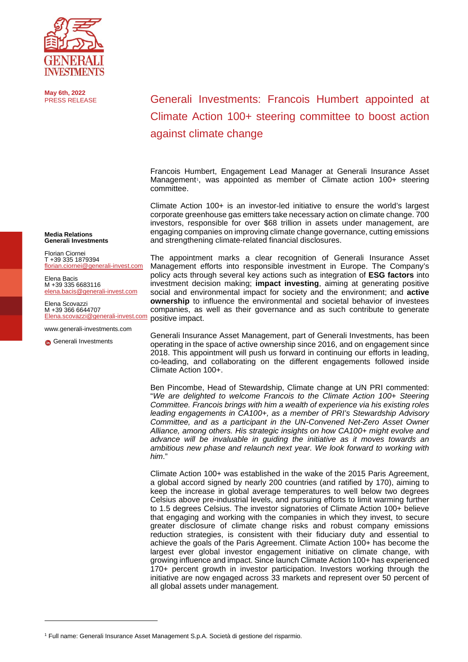

**May 6th, 2022**

Generali Investments: Francois Humbert appointed at Climate Action 100+ steering committee to boost action against climate change

Francois Humbert, Engagement Lead Manager at Generali Insurance Asset Management<sup>1</sup>, was appointed as member of Climate action 100+ steering committee.

Climate Action 100+ is an investor-led initiative to ensure the world's largest corporate greenhouse gas emitters take necessary action on climate change. 700 investors, responsible for over \$68 trillion in assets under management, are engaging companies on improving climate change governance, cutting emissions and strengthening climate-related financial disclosures.

The appointment marks a clear recognition of Generali Insurance Asset Management efforts into responsible investment in Europe. The Company's policy acts through several key actions such as integration of **ESG factors** into investment decision making; **impact investing**, aiming at generating positive social and environmental impact for society and the environment; and **active ownership** to influence the environmental and societal behavior of investees companies, as well as their governance and as such contribute to generate positive impact.

Generali Insurance Asset Management, part of Generali Investments, has been operating in the space of active ownership since 2016, and on engagement since 2018. This appointment will push us forward in continuing our efforts in leading, co-leading, and collaborating on the different engagements followed inside Climate Action 100+.

Ben Pincombe, Head of Stewardship, Climate change at UN PRI commented: "*We are delighted to welcome Francois to the Climate Action 100+ Steering Committee. Francois brings with him a wealth of experience via his existing roles leading engagements in CA100+, as a member of PRI's Stewardship Advisory Committee, and as a participant in the UN-Convened Net-Zero Asset Owner Alliance, among others. His strategic insights on how CA100+ might evolve and advance will be invaluable in guiding the initiative as it moves towards an ambitious new phase and relaunch next year. We look forward to working with him*."

Climate Action 100+ was established in the wake of the 2015 Paris Agreement, a global accord signed by nearly 200 countries (and ratified by 170), aiming to keep the increase in global average temperatures to well below two degrees Celsius above pre-industrial levels, and pursuing efforts to limit warming further to 1.5 degrees Celsius. The investor signatories of Climate Action 100+ believe that engaging and working with the companies in which they invest, to secure greater disclosure of climate change risks and robust company emissions reduction strategies, is consistent with their fiduciary duty and essential to achieve the goals of the Paris Agreement. Climate Action 100+ has become the largest ever global investor engagement initiative on climate change, with growing influence and impact. Since launch Climate Action 100+ has experienced 170+ percent growth in investor participation. Investors working through the initiative are now engaged across 33 markets and represent over 50 percent of all global assets under management.

**Media Relations Generali Investments**

Florian Ciornei T +39 335 1879394 [florian.ciornei@generali-invest.com](mailto:florian.ciornei@generali-invest.com)

Elena Bacis M +39 335 6683116 [elena.bacis@generali-invest.com](mailto:elena.bacis@generali-invest.com)

Elena Scovazzi M +39 366 6644707 .....<br>@aenerali-invest.com

[www.generali-investments.com](http://www.generali-investments.com/)

**G** [Generali Investments](https://www.linkedin.com/company/generali-investments/)

<span id="page-0-0"></span><sup>1</sup> Full name: Generali Insurance Asset Management S.p.A. Società di gestione del risparmio.